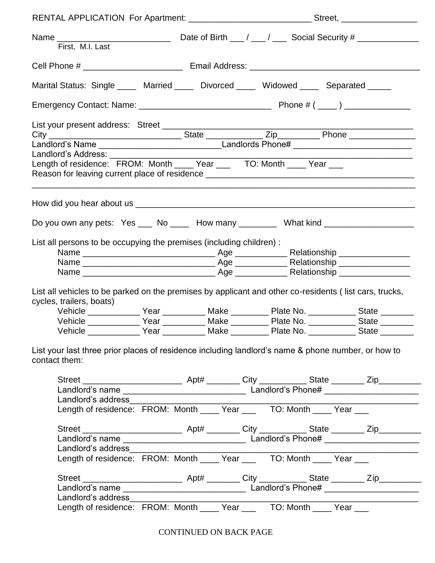| First, M.I. Last                                                                                                                          |  |  |  |  |  |
|-------------------------------------------------------------------------------------------------------------------------------------------|--|--|--|--|--|
|                                                                                                                                           |  |  |  |  |  |
| Marital Status: Single ____ Married ____ Divorced ____ Widowed ____ Separated ____                                                        |  |  |  |  |  |
|                                                                                                                                           |  |  |  |  |  |
|                                                                                                                                           |  |  |  |  |  |
|                                                                                                                                           |  |  |  |  |  |
| Landlord's Address: ________                                                                                                              |  |  |  |  |  |
| Length of residence: FROM: Month ____ Year ____ TO: Month ____ Year ___                                                                   |  |  |  |  |  |
|                                                                                                                                           |  |  |  |  |  |
| Do you own any pets: Yes ____ No _____ How many _________ What kind _____________                                                         |  |  |  |  |  |
| List all persons to be occupying the premises (including children) :                                                                      |  |  |  |  |  |
|                                                                                                                                           |  |  |  |  |  |
|                                                                                                                                           |  |  |  |  |  |
|                                                                                                                                           |  |  |  |  |  |
|                                                                                                                                           |  |  |  |  |  |
| List all vehicles to be parked on the premises by applicant and other co-residents (list cars, trucks,<br>cycles, trailers, boats)        |  |  |  |  |  |
| Vehicle _____________Year ___________Make __________Plate No. ___________State ________                                                   |  |  |  |  |  |
|                                                                                                                                           |  |  |  |  |  |
| Landlord's address________                                                                                                                |  |  |  |  |  |
|                                                                                                                                           |  |  |  |  |  |
|                                                                                                                                           |  |  |  |  |  |
|                                                                                                                                           |  |  |  |  |  |
| Landlord's address_____                                                                                                                   |  |  |  |  |  |
| Landroid's additios_<br>Length of residence: FROM: Month ____ Year ___ TO: Month ____ Year ___                                            |  |  |  |  |  |
|                                                                                                                                           |  |  |  |  |  |
|                                                                                                                                           |  |  |  |  |  |
| List your last three prior places of residence including landlord's name & phone number, or how to<br>contact them:<br>Landlord's address |  |  |  |  |  |

CONTINUED ON BACK PAGE